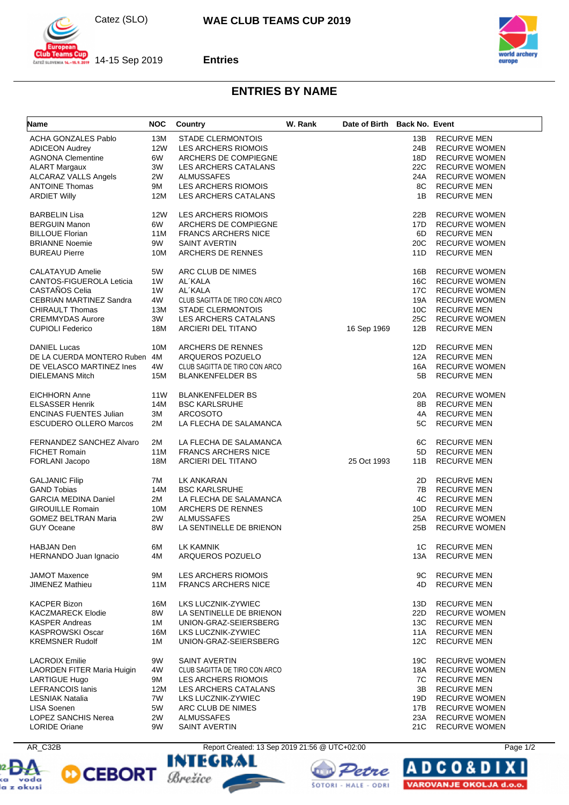Catez (SLO)



 $\frac{1}{201}$  14-15 Sep 2019 **Entries**



## **ENTRIES BY NAME**

| Name                           | <b>NOC</b>      | Country                       | W. Rank | Date of Birth Back No. Event |     |                      |
|--------------------------------|-----------------|-------------------------------|---------|------------------------------|-----|----------------------|
| <b>ACHA GONZALES Pablo</b>     | 13M             | <b>STADE CLERMONTOIS</b>      |         |                              | 13B | <b>RECURVE MEN</b>   |
| <b>ADICEON Audrey</b>          | <b>12W</b>      | LES ARCHERS RIOMOIS           |         |                              | 24B | <b>RECURVE WOMEN</b> |
|                                | 6W              |                               |         |                              | 18D |                      |
| <b>AGNONA Clementine</b>       |                 | ARCHERS DE COMPIEGNE          |         |                              |     | <b>RECURVE WOMEN</b> |
| <b>ALART Margaux</b>           | 3W              | LES ARCHERS CATALANS          |         |                              | 22C | <b>RECURVE WOMEN</b> |
| ALCARAZ VALLS Angels           | 2W              | <b>ALMUSSAFES</b>             |         |                              | 24A | <b>RECURVE WOMEN</b> |
| <b>ANTOINE Thomas</b>          | 9M              | LES ARCHERS RIOMOIS           |         |                              | 8C  | <b>RECURVE MEN</b>   |
| <b>ARDIET Willy</b>            | 12M             | LES ARCHERS CATALANS          |         |                              | 1B  | <b>RECURVE MEN</b>   |
| <b>BARBELIN Lisa</b>           | 12W             | LES ARCHERS RIOMOIS           |         |                              | 22B | <b>RECURVE WOMEN</b> |
| <b>BERGUIN Manon</b>           | 6W              | ARCHERS DE COMPIEGNE          |         |                              | 17D | <b>RECURVE WOMEN</b> |
| <b>BILLOUE Florian</b>         | 11M             | <b>FRANCS ARCHERS NICE</b>    |         |                              | 6D  | <b>RECURVE MEN</b>   |
| <b>BRIANNE Noemie</b>          | 9W              | <b>SAINT AVERTIN</b>          |         |                              | 20C | <b>RECURVE WOMEN</b> |
| <b>BUREAU Pierre</b>           | 10M             | ARCHERS DE RENNES             |         |                              | 11D | <b>RECURVE MEN</b>   |
|                                |                 |                               |         |                              |     |                      |
| <b>CALATAYUD Amelie</b>        | 5W              | ARC CLUB DE NIMES             |         |                              | 16B | <b>RECURVE WOMEN</b> |
| CANTOS-FIGUEROLA Leticia       | 1W              | AL'KALA                       |         |                              | 16C | <b>RECURVE WOMEN</b> |
| CASTAÑOS Celia                 | 1W              | AL'KALA                       |         |                              | 17C | <b>RECURVE WOMEN</b> |
| <b>CEBRIAN MARTINEZ Sandra</b> | 4W              | CLUB SAGITTA DE TIRO CON ARCO |         |                              | 19A | <b>RECURVE WOMEN</b> |
| <b>CHIRAULT Thomas</b>         | 13M             | <b>STADE CLERMONTOIS</b>      |         |                              | 10C | <b>RECURVE MEN</b>   |
| <b>CREMMYDAS Aurore</b>        | 3W              | LES ARCHERS CATALANS          |         |                              | 25C | <b>RECURVE WOMEN</b> |
| <b>CUPIOLI Federico</b>        | 18M             | ARCIERI DEL TITANO            |         | 16 Sep 1969                  | 12B | <b>RECURVE MEN</b>   |
|                                |                 |                               |         |                              |     |                      |
| <b>DANIEL Lucas</b>            | 10M             | ARCHERS DE RENNES             |         |                              | 12D | <b>RECURVE MEN</b>   |
| DE LA CUERDA MONTERO Ruben     | 4M              | ARQUEROS POZUELO              |         |                              | 12A | <b>RECURVE MEN</b>   |
| DE VELASCO MARTINEZ Ines       | 4W              | CLUB SAGITTA DE TIRO CON ARCO |         |                              | 16A | <b>RECURVE WOMEN</b> |
| <b>DIELEMANS Mitch</b>         | <b>15M</b>      | <b>BLANKENFELDER BS</b>       |         |                              | 5B  | <b>RECURVE MEN</b>   |
| <b>EICHHORN Anne</b>           | 11 <sub>W</sub> | <b>BLANKENFELDER BS</b>       |         |                              | 20A | <b>RECURVE WOMEN</b> |
| <b>ELSASSER Henrik</b>         | 14M             | <b>BSC KARLSRUHE</b>          |         |                              | 8B  | <b>RECURVE MEN</b>   |
| <b>ENCINAS FUENTES Julian</b>  | 3M              | <b>ARCOSOTO</b>               |         |                              | 4A  | <b>RECURVE MEN</b>   |
| <b>ESCUDERO OLLERO Marcos</b>  | 2M              | LA FLECHA DE SALAMANCA        |         |                              | 5C  | <b>RECURVE MEN</b>   |
|                                |                 |                               |         |                              |     |                      |
| FERNANDEZ SANCHEZ Alvaro       | 2M              | LA FLECHA DE SALAMANCA        |         |                              | 6C  | <b>RECURVE MEN</b>   |
| <b>FICHET Romain</b>           | 11M             | <b>FRANCS ARCHERS NICE</b>    |         |                              | 5D  | <b>RECURVE MEN</b>   |
| FORLANI Jacopo                 | 18M             | ARCIERI DEL TITANO            |         | 25 Oct 1993                  | 11B | <b>RECURVE MEN</b>   |
|                                |                 |                               |         |                              |     |                      |
| <b>GALJANIC Filip</b>          | 7M              | LK ANKARAN                    |         |                              | 2D  | <b>RECURVE MEN</b>   |
| <b>GAND Tobias</b>             | 14M             | <b>BSC KARLSRUHE</b>          |         |                              | 7B  | <b>RECURVE MEN</b>   |
| <b>GARCIA MEDINA Daniel</b>    | 2M              | LA FLECHA DE SALAMANCA        |         |                              | 4C  | <b>RECURVE MEN</b>   |
| <b>GIROUILLE Romain</b>        | 10M             | ARCHERS DE RENNES             |         |                              | 10D | <b>RECURVE MEN</b>   |
| <b>GOMEZ BELTRAN Maria</b>     | 2W              | <b>ALMUSSAFES</b>             |         |                              | 25A | <b>RECURVE WOMEN</b> |
| <b>GUY Oceane</b>              | 8W              | LA SENTINELLE DE BRIENON      |         |                              | 25B | <b>RECURVE WOMEN</b> |
|                                |                 |                               |         |                              |     |                      |
| <b>HABJAN Den</b>              | 6М              | <b>LK KAMNIK</b>              |         |                              | 1C  | <b>RECURVE MEN</b>   |
| HERNANDO Juan Ignacio          | 4M              | ARQUEROS POZUELO              |         |                              | 13A | <b>RECURVE MEN</b>   |
| <b>JAMOT Maxence</b>           | 9M              | <b>LES ARCHERS RIOMOIS</b>    |         |                              | 9C  | <b>RECURVE MEN</b>   |
| <b>JIMENEZ Mathieu</b>         | 11M             | <b>FRANCS ARCHERS NICE</b>    |         |                              | 4D  | <b>RECURVE MEN</b>   |
|                                |                 |                               |         |                              |     |                      |
| <b>KACPER Bizon</b>            | 16M             | LKS LUCZNIK-ZYWIEC            |         |                              | 13D | <b>RECURVE MEN</b>   |
| <b>KACZMARECK Elodie</b>       | 8W              | LA SENTINELLE DE BRIENON      |         |                              | 22D | <b>RECURVE WOMEN</b> |
| <b>KASPER Andreas</b>          | 1M              | UNION-GRAZ-SEIERSBERG         |         |                              | 13C | <b>RECURVE MEN</b>   |
| <b>KASPROWSKI Oscar</b>        | 16M             | LKS LUCZNIK-ZYWIEC            |         |                              | 11A | <b>RECURVE MEN</b>   |
| <b>KREMSNER Rudolf</b>         | 1M              | UNION-GRAZ-SEIERSBERG         |         |                              | 12C | <b>RECURVE MEN</b>   |
| <b>LACROIX Emilie</b>          | 9W              | <b>SAINT AVERTIN</b>          |         |                              | 19C | <b>RECURVE WOMEN</b> |
| LAORDEN FITER Maria Huigin     | 4W              | CLUB SAGITTA DE TIRO CON ARCO |         |                              | 18A | <b>RECURVE WOMEN</b> |
|                                | 9M              | LES ARCHERS RIOMOIS           |         |                              | 7C  | <b>RECURVE MEN</b>   |
| LARTIGUE Hugo                  |                 |                               |         |                              |     | <b>RECURVE MEN</b>   |
| <b>LEFRANCOIS lanis</b>        | 12M             | LES ARCHERS CATALANS          |         |                              | 3B  |                      |
| <b>LESNIAK Natalia</b>         | 7W              | LKS LUCZNIK-ZYWIEC            |         |                              | 19D | <b>RECURVE WOMEN</b> |
| LISA Soenen                    | 5W              | ARC CLUB DE NIMES             |         |                              | 17B | <b>RECURVE WOMEN</b> |
| <b>LOPEZ SANCHIS Nerea</b>     | 2W              | <b>ALMUSSAFES</b>             |         |                              | 23A | <b>RECURVE WOMEN</b> |
| <b>LORIDE Oriane</b>           | 9W              | <b>SAINT AVERTIN</b>          |         |                              | 21C | <b>RECURVE WOMEN</b> |











ΙA

**DCO&D** 

VAROVANJE OKOLJA d.o.o.